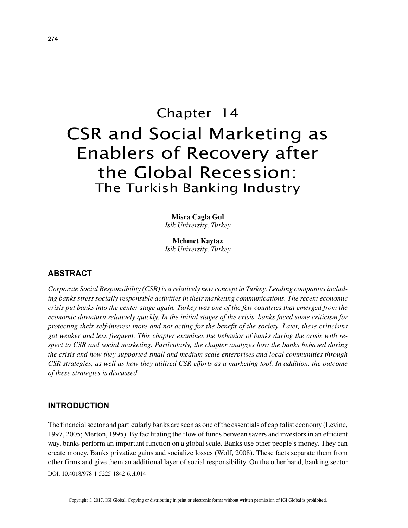# Chapter 14 CSR and Social Marketing as Enablers of Recovery after the Global Recession: The Turkish Banking Industry

**Misra Cagla Gul** *Isik University, Turkey*

**Mehmet Kaytaz** *Isik University, Turkey*

## **ABSTRACT**

*Corporate Social Responsibility (CSR) is a relatively new concept in Turkey. Leading companies including banks stress socially responsible activities in their marketing communications. The recent economic crisis put banks into the center stage again. Turkey was one of the few countries that emerged from the economic downturn relatively quickly. In the initial stages of the crisis, banks faced some criticism for protecting their self-interest more and not acting for the benefit of the society. Later, these criticisms got weaker and less frequent. This chapter examines the behavior of banks during the crisis with respect to CSR and social marketing. Particularly, the chapter analyzes how the banks behaved during the crisis and how they supported small and medium scale enterprises and local communities through CSR strategies, as well as how they utilized CSR efforts as a marketing tool. In addition, the outcome of these strategies is discussed.*

#### **INTRODUCTION**

The financial sector and particularly banks are seen as one of the essentials of capitalist economy (Levine, 1997, 2005; Merton, 1995). By facilitating the flow of funds between savers and investors in an efficient way, banks perform an important function on a global scale. Banks use other people's money. They can create money. Banks privatize gains and socialize losses (Wolf, 2008). These facts separate them from other firms and give them an additional layer of social responsibility. On the other hand, banking sector

DOI: 10.4018/978-1-5225-1842-6.ch014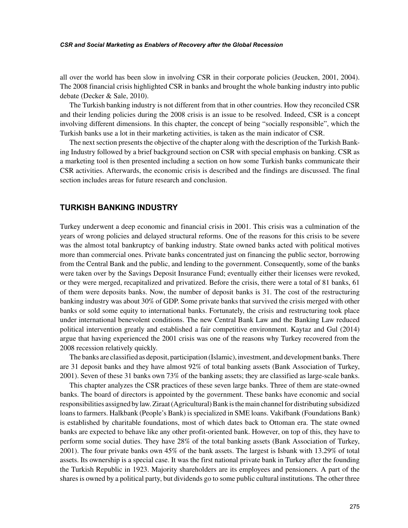#### *CSR and Social Marketing as Enablers of Recovery after the Global Recession*

all over the world has been slow in involving CSR in their corporate policies (Jeucken, 2001, 2004). The 2008 financial crisis highlighted CSR in banks and brought the whole banking industry into public debate (Decker & Sale, 2010).

The Turkish banking industry is not different from that in other countries. How they reconciled CSR and their lending policies during the 2008 crisis is an issue to be resolved. Indeed, CSR is a concept involving different dimensions. In this chapter, the concept of being "socially responsible", which the Turkish banks use a lot in their marketing activities, is taken as the main indicator of CSR.

The next section presents the objective of the chapter along with the description of the Turkish Banking Industry followed by a brief background section on CSR with special emphasis on banking. CSR as a marketing tool is then presented including a section on how some Turkish banks communicate their CSR activities. Afterwards, the economic crisis is described and the findings are discussed. The final section includes areas for future research and conclusion.

#### **TURKISH BANKING INDUSTRY**

Turkey underwent a deep economic and financial crisis in 2001. This crisis was a culmination of the years of wrong policies and delayed structural reforms. One of the reasons for this crisis to be severe was the almost total bankruptcy of banking industry. State owned banks acted with political motives more than commercial ones. Private banks concentrated just on financing the public sector, borrowing from the Central Bank and the public, and lending to the government. Consequently, some of the banks were taken over by the Savings Deposit Insurance Fund; eventually either their licenses were revoked, or they were merged, recapitalized and privatized. Before the crisis, there were a total of 81 banks, 61 of them were deposits banks. Now, the number of deposit banks is 31. The cost of the restructuring banking industry was about 30% of GDP. Some private banks that survived the crisis merged with other banks or sold some equity to international banks. Fortunately, the crisis and restructuring took place under international benevolent conditions. The new Central Bank Law and the Banking Law reduced political intervention greatly and established a fair competitive environment. Kaytaz and Gul (2014) argue that having experienced the 2001 crisis was one of the reasons why Turkey recovered from the 2008 recession relatively quickly.

The banks are classified as deposit, participation (Islamic), investment, and development banks. There are 31 deposit banks and they have almost 92% of total banking assets (Bank Association of Turkey, 2001). Seven of these 31 banks own 73% of the banking assets; they are classified as large-scale banks.

This chapter analyzes the CSR practices of these seven large banks. Three of them are state-owned banks. The board of directors is appointed by the government. These banks have economic and social responsibilities assigned by law. Ziraat (Agricultural) Bank is the main channel for distributing subsidized loans to farmers. Halkbank (People's Bank) is specialized in SME loans. Vakifbank (Foundations Bank) is established by charitable foundations, most of which dates back to Ottoman era. The state owned banks are expected to behave like any other profit-oriented bank. However, on top of this, they have to perform some social duties. They have 28% of the total banking assets (Bank Association of Turkey, 2001). The four private banks own 45% of the bank assets. The largest is Isbank with 13.29% of total assets. Its ownership is a special case. It was the first national private bank in Turkey after the founding the Turkish Republic in 1923. Majority shareholders are its employees and pensioners. A part of the shares is owned by a political party, but dividends go to some public cultural institutions. The other three